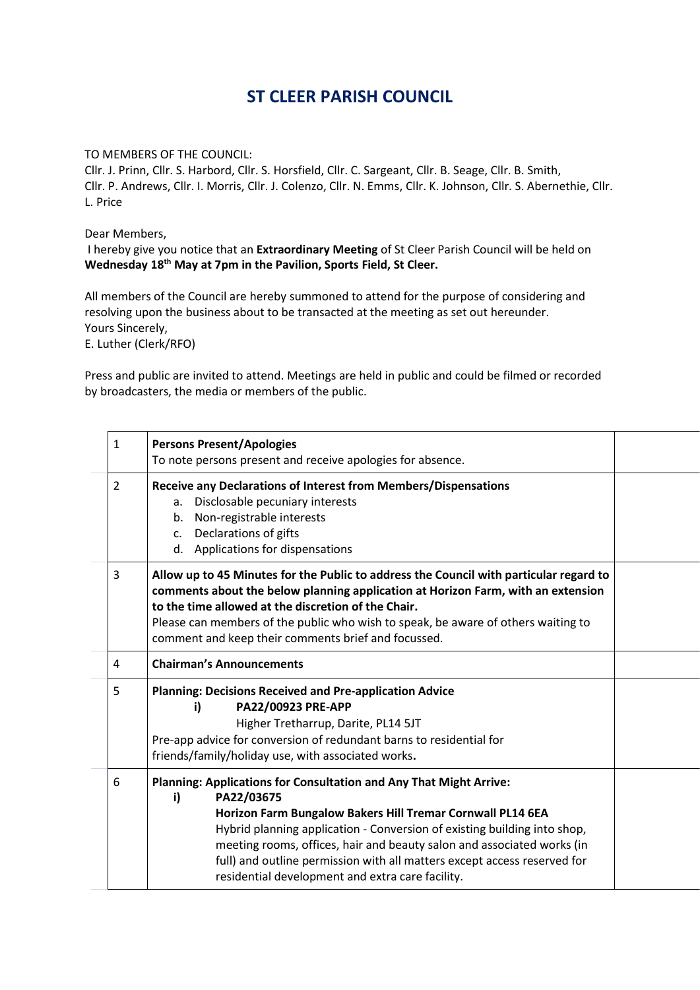## **ST CLEER PARISH COUNCIL**

TO MEMBERS OF THE COUNCIL:

Cllr. J. Prinn, Cllr. S. Harbord, Cllr. S. Horsfield, Cllr. C. Sargeant, Cllr. B. Seage, Cllr. B. Smith, Cllr. P. Andrews, Cllr. I. Morris, Cllr. J. Colenzo, Cllr. N. Emms, Cllr. K. Johnson, Cllr. S. Abernethie, Cllr. L. Price

Dear Members,

I hereby give you notice that an **Extraordinary Meeting** of St Cleer Parish Council will be held on **Wednesday 18th May at 7pm in the Pavilion, Sports Field, St Cleer.**

All members of the Council are hereby summoned to attend for the purpose of considering and resolving upon the business about to be transacted at the meeting as set out hereunder. Yours Sincerely,

E. Luther (Clerk/RFO)

Press and public are invited to attend. Meetings are held in public and could be filmed or recorded by broadcasters, the media or members of the public.

| $\mathbf{1}$ | <b>Persons Present/Apologies</b><br>To note persons present and receive apologies for absence.                                                                                                                                                                                                                                                                                                                                             |  |
|--------------|--------------------------------------------------------------------------------------------------------------------------------------------------------------------------------------------------------------------------------------------------------------------------------------------------------------------------------------------------------------------------------------------------------------------------------------------|--|
| 2            | <b>Receive any Declarations of Interest from Members/Dispensations</b><br>Disclosable pecuniary interests<br>a.<br>Non-registrable interests<br>b.<br>Declarations of gifts<br>c.<br>d. Applications for dispensations                                                                                                                                                                                                                     |  |
| 3            | Allow up to 45 Minutes for the Public to address the Council with particular regard to<br>comments about the below planning application at Horizon Farm, with an extension<br>to the time allowed at the discretion of the Chair.<br>Please can members of the public who wish to speak, be aware of others waiting to<br>comment and keep their comments brief and focussed.                                                              |  |
| 4            | <b>Chairman's Announcements</b>                                                                                                                                                                                                                                                                                                                                                                                                            |  |
| 5            | <b>Planning: Decisions Received and Pre-application Advice</b><br>PA22/00923 PRE-APP<br>i)<br>Higher Tretharrup, Darite, PL14 5JT<br>Pre-app advice for conversion of redundant barns to residential for<br>friends/family/holiday use, with associated works.                                                                                                                                                                             |  |
| 6            | Planning: Applications for Consultation and Any That Might Arrive:<br>PA22/03675<br>i)<br>Horizon Farm Bungalow Bakers Hill Tremar Cornwall PL14 6EA<br>Hybrid planning application - Conversion of existing building into shop,<br>meeting rooms, offices, hair and beauty salon and associated works (in<br>full) and outline permission with all matters except access reserved for<br>residential development and extra care facility. |  |